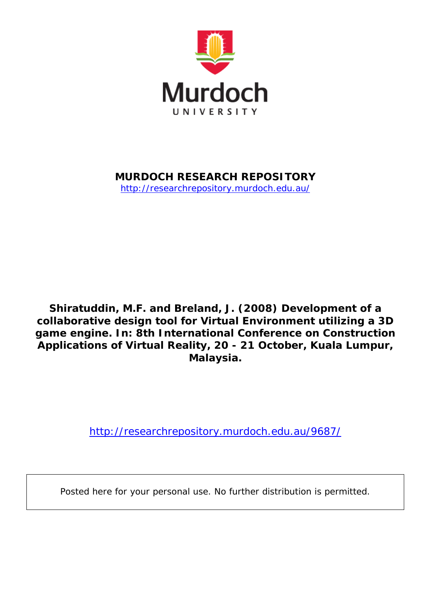

**MURDOCH RESEARCH REPOSITORY**

<http://researchrepository.murdoch.edu.au/>

**Shiratuddin, M.F. and Breland, J. (2008)** *Development of a collaborative design tool for Virtual Environment utilizing a 3D game engine.* **In: 8th International Conference on Construction Applications of Virtual Reality, 20 - 21 October, Kuala Lumpur, Malaysia.**

<http://researchrepository.murdoch.edu.au/9687/>

Posted here for your personal use. No further distribution is permitted.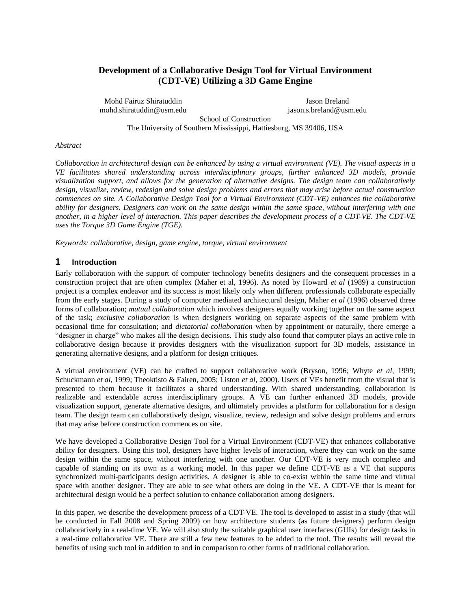# **Development of a Collaborative Design Tool for Virtual Environment (CDT-VE) Utilizing a 3D Game Engine**

Mohd Fairuz Shiratuddin mohd.shiratuddin@usm.edu

Jason Breland jason.s.breland@usm.edu

School of Construction The University of Southern Mississippi, Hattiesburg, MS 39406, USA

#### *Abstract*

*Collaboration in architectural design can be enhanced by using a virtual environment (VE). The visual aspects in a VE facilitates shared understanding across interdisciplinary groups, further enhanced 3D models, provide visualization support, and allows for the generation of alternative designs. The design team can collaboratively design, visualize, review, redesign and solve design problems and errors that may arise before actual construction commences on site. A Collaborative Design Tool for a Virtual Environment (CDT-VE) enhances the collaborative ability for designers. Designers can work on the same design within the same space, without interfering with one another, in a higher level of interaction. This paper describes the development process of a CDT-VE. The CDT-VE uses the Torque 3D Game Engine (TGE).*

*Keywords: collaborative, design, game engine, torque, virtual environment*

#### **1 Introduction**

Early collaboration with the support of computer technology benefits designers and the consequent processes in a construction project that are often complex (Maher et al, 1996). As noted by Howard *et al* (1989) a construction project is a complex endeavor and its success is most likely only when different professionals collaborate especially from the early stages. During a study of computer mediated architectural design, Maher *et al* (1996) observed three forms of collaboration; *mutual collaboration* which involves designers equally working together on the same aspect of the task; *exclusive collaboration* is when designers working on separate aspects of the same problem with occasional time for consultation; and *dictatorial collaboration* when by appointment or naturally, there emerge a "designer in charge" who makes all the design decisions. This study also found that computer plays an active role in collaborative design because it provides designers with the visualization support for 3D models, assistance in generating alternative designs, and a platform for design critiques.

A virtual environment (VE) can be crafted to support collaborative work (Bryson, 1996; Whyte *et al*, 1999; Schuckmann *et al*, 1999; Theoktisto & Fairen, 2005; Liston *et al,* 2000). Users of VEs benefit from the visual that is presented to them because it facilitates a shared understanding. With shared understanding, collaboration is realizable and extendable across interdisciplinary groups. A VE can further enhanced 3D models, provide visualization support, generate alternative designs, and ultimately provides a platform for collaboration for a design team. The design team can collaboratively design, visualize, review, redesign and solve design problems and errors that may arise before construction commences on site.

We have developed a Collaborative Design Tool for a Virtual Environment (CDT-VE) that enhances collaborative ability for designers. Using this tool, designers have higher levels of interaction, where they can work on the same design within the same space, without interfering with one another. Our CDT-VE is very much complete and capable of standing on its own as a working model. In this paper we define CDT-VE as a VE that supports synchronized multi-participants design activities. A designer is able to co-exist within the same time and virtual space with another designer. They are able to see what others are doing in the VE. A CDT-VE that is meant for architectural design would be a perfect solution to enhance collaboration among designers.

In this paper, we describe the development process of a CDT-VE. The tool is developed to assist in a study (that will be conducted in Fall 2008 and Spring 2009) on how architecture students (as future designers) perform design collaboratively in a real-time VE. We will also study the suitable graphical user interfaces (GUIs) for design tasks in a real-time collaborative VE. There are still a few new features to be added to the tool. The results will reveal the benefits of using such tool in addition to and in comparison to other forms of traditional collaboration.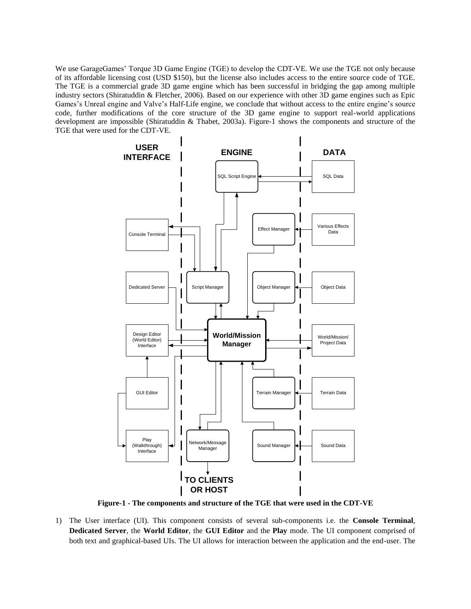We use GarageGames" Torque 3D Game Engine (TGE) to develop the CDT-VE. We use the TGE not only because of its affordable licensing cost (USD \$150), but the license also includes access to the entire source code of TGE. The TGE is a commercial grade 3D game engine which has been successful in bridging the gap among multiple industry sectors (Shiratuddin & Fletcher, 2006). Based on our experience with other 3D game engines such as Epic Games's Unreal engine and Valve's Half-Life engine, we conclude that without access to the entire engine's source code, further modifications of the core structure of the 3D game engine to support real-world applications development are impossible (Shiratuddin & Thabet, 2003a). Figure-1 shows the components and structure of the TGE that were used for the CDT-VE.



**Figure-1 - The components and structure of the TGE that were used in the CDT-VE** 

1) The User interface (UI). This component consists of several sub-components i.e. the **Console Terminal**, **Dedicated Server**, the **World Editor**, the **GUI Editor** and the **Play** mode. The UI component comprised of both text and graphical-based UIs. The UI allows for interaction between the application and the end-user. The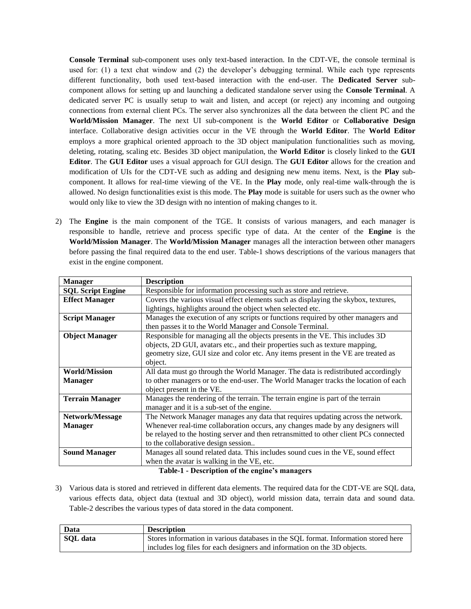**Console Terminal** sub-component uses only text-based interaction. In the CDT-VE, the console terminal is used for: (1) a text chat window and (2) the developer"s debugging terminal. While each type represents different functionality, both used text-based interaction with the end-user. The **Dedicated Server** subcomponent allows for setting up and launching a dedicated standalone server using the **Console Terminal**. A dedicated server PC is usually setup to wait and listen, and accept (or reject) any incoming and outgoing connections from external client PCs. The server also synchronizes all the data between the client PC and the **World/Mission Manager**. The next UI sub-component is the **World Editor** or **Collaborative Design** interface. Collaborative design activities occur in the VE through the **World Editor**. The **World Editor** employs a more graphical oriented approach to the 3D object manipulation functionalities such as moving, deleting, rotating, scaling etc. Besides 3D object manipulation, the **World Editor** is closely linked to the **GUI Editor**. The **GUI Editor** uses a visual approach for GUI design. The **GUI Editor** allows for the creation and modification of UIs for the CDT-VE such as adding and designing new menu items. Next, is the **Play** subcomponent. It allows for real-time viewing of the VE. In the **Play** mode, only real-time walk-through the is allowed. No design functionalities exist is this mode. The **Play** mode is suitable for users such as the owner who would only like to view the 3D design with no intention of making changes to it.

2) The **Engine** is the main component of the TGE. It consists of various managers, and each manager is responsible to handle, retrieve and process specific type of data. At the center of the **Engine** is the **World/Mission Manager**. The **World/Mission Manager** manages all the interaction between other managers before passing the final required data to the end user. Table-1 shows descriptions of the various managers that exist in the engine component.

| <b>Manager</b>           | <b>Description</b>                                                                    |
|--------------------------|---------------------------------------------------------------------------------------|
| <b>SQL Script Engine</b> | Responsible for information processing such as store and retrieve.                    |
| <b>Effect Manager</b>    | Covers the various visual effect elements such as displaying the skybox, textures,    |
|                          | lightings, highlights around the object when selected etc.                            |
| <b>Script Manager</b>    | Manages the execution of any scripts or functions required by other managers and      |
|                          | then passes it to the World Manager and Console Terminal.                             |
| <b>Object Manager</b>    | Responsible for managing all the objects presents in the VE. This includes 3D         |
|                          | objects, 2D GUI, avatars etc., and their properties such as texture mapping,          |
|                          | geometry size, GUI size and color etc. Any items present in the VE are treated as     |
|                          | object.                                                                               |
| <b>World/Mission</b>     | All data must go through the World Manager. The data is redistributed accordingly     |
| <b>Manager</b>           | to other managers or to the end-user. The World Manager tracks the location of each   |
|                          | object present in the VE.                                                             |
| <b>Terrain Manager</b>   | Manages the rendering of the terrain. The terrain engine is part of the terrain       |
|                          | manager and it is a sub-set of the engine.                                            |
| Network/Message          | The Network Manager manages any data that requires updating across the network.       |
| <b>Manager</b>           | Whenever real-time collaboration occurs, any changes made by any designers will       |
|                          | be relayed to the hosting server and then retransmitted to other client PCs connected |
|                          | to the collaborative design session                                                   |
| <b>Sound Manager</b>     | Manages all sound related data. This includes sound cues in the VE, sound effect      |
|                          | when the avatar is walking in the VE, etc.                                            |

**Table-1 - Description of the engine's managers**

3) Various data is stored and retrieved in different data elements. The required data for the CDT-VE are SQL data, various effects data, object data (textual and 3D object), world mission data, terrain data and sound data. Table-2 describes the various types of data stored in the data component.

| Data     | <b>Description</b>                                                                 |
|----------|------------------------------------------------------------------------------------|
| SQL data | Stores information in various databases in the SQL format. Information stored here |
|          | includes log files for each designers and information on the 3D objects.           |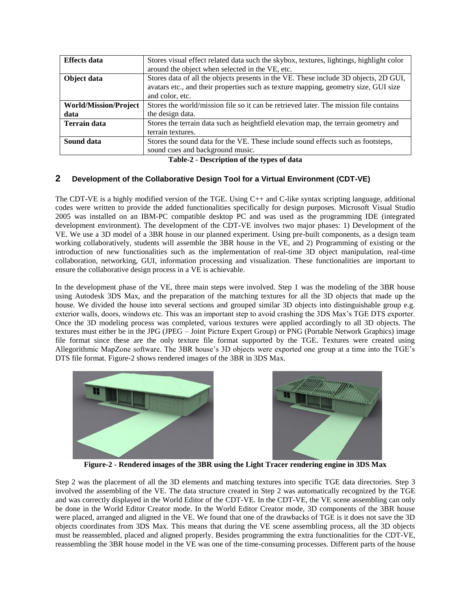| <b>Effects</b> data                  | Stores visual effect related data such the skybox, textures, lightings, highlight color<br>around the object when selected in the VE, etc.                                                     |
|--------------------------------------|------------------------------------------------------------------------------------------------------------------------------------------------------------------------------------------------|
| Object data                          | Stores data of all the objects presents in the VE. These include 3D objects, 2D GUI,<br>avatars etc., and their properties such as texture mapping, geometry size, GUI size<br>and color, etc. |
| <b>World/Mission/Project</b><br>data | Stores the world/mission file so it can be retrieved later. The mission file contains<br>the design data.                                                                                      |
| <b>Terrain data</b>                  | Stores the terrain data such as heightfield elevation map, the terrain geometry and<br>terrain textures.                                                                                       |
| Sound data                           | Stores the sound data for the VE. These include sound effects such as footsteps,<br>sound cues and background music.                                                                           |

#### **Table-2 - Description of the types of data**

### **2 Development of the Collaborative Design Tool for a Virtual Environment (CDT-VE)**

The CDT-VE is a highly modified version of the TGE. Using C++ and C-like syntax scripting language, additional codes were written to provide the added functionalities specifically for design purposes. Microsoft Visual Studio 2005 was installed on an IBM-PC compatible desktop PC and was used as the programming IDE (integrated development environment). The development of the CDT-VE involves two major phases: 1) Development of the VE. We use a 3D model of a 3BR house in our planned experiment. Using pre-built components, as a design team working collaboratively, students will assemble the 3BR house in the VE, and 2) Programming of existing or the introduction of new functionalities such as the implementation of real-time 3D object manipulation, real-time collaboration, networking, GUI, information processing and visualization. These functionalities are important to ensure the collaborative design process in a VE is achievable.

In the development phase of the VE, three main steps were involved. Step 1 was the modeling of the 3BR house using Autodesk 3DS Max, and the preparation of the matching textures for all the 3D objects that made up the house. We divided the house into several sections and grouped similar 3D objects into distinguishable group e.g. exterior walls, doors, windows etc. This was an important step to avoid crashing the 3DS Max"s TGE DTS exporter. Once the 3D modeling process was completed, various textures were applied accordingly to all 3D objects. The textures must either be in the JPG (JPEG – Joint Picture Expert Group) or PNG (Portable Network Graphics) image file format since these are the only texture file format supported by the TGE. Textures were created using Allegorithmic MapZone software. The 3BR house"s 3D objects were exported one group at a time into the TGE"s DTS file format. Figure-2 shows rendered images of the 3BR in 3DS Max.



**Figure-2 - Rendered images of the 3BR using the Light Tracer rendering engine in 3DS Max**

Step 2 was the placement of all the 3D elements and matching textures into specific TGE data directories. Step 3 involved the assembling of the VE. The data structure created in Step 2 was automatically recognized by the TGE and was correctly displayed in the World Editor of the CDT-VE. In the CDT-VE, the VE scene assembling can only be done in the World Editor Creator mode. In the World Editor Creator mode, 3D components of the 3BR house were placed, arranged and aligned in the VE. We found that one of the drawbacks of TGE is it does not save the 3D objects coordinates from 3DS Max. This means that during the VE scene assembling process, all the 3D objects must be reassembled, placed and aligned properly. Besides programming the extra functionalities for the CDT-VE, reassembling the 3BR house model in the VE was one of the time-consuming processes. Different parts of the house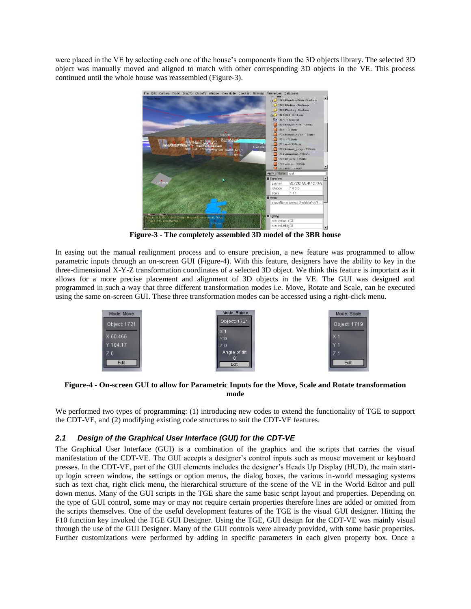were placed in the VE by selecting each one of the house"s components from the 3D objects library. The selected 3D object was manually moved and aligned to match with other corresponding 3D objects in the VE. This process continued until the whole house was reassembled (Figure-3).



**Figure-3 - The completely assembled 3D model of the 3BR house**

In easing out the manual realignment process and to ensure precision, a new feature was programmed to allow parametric inputs through an on-screen GUI (Figure-4). With this feature, designers have the ability to key in the three-dimensional X-Y-Z transformation coordinates of a selected 3D object. We think this feature is important as it allows for a more precise placement and alignment of 3D objects in the VE. The GUI was designed and programmed in such a way that three different transformation modes i.e. Move, Rotate and Scale, can be executed using the same on-screen GUI. These three transformation modes can be accessed using a right-click menu.



#### **Figure-4 - On-screen GUI to allow for Parametric Inputs for the Move, Scale and Rotate transformation mode**

We performed two types of programming: (1) introducing new codes to extend the functionality of TGE to support the CDT-VE, and (2) modifying existing code structures to suit the CDT-VE features.

## *2.1 Design of the Graphical User Interface (GUI) for the CDT-VE*

The Graphical User Interface (GUI) is a combination of the graphics and the scripts that carries the visual manifestation of the CDT-VE. The GUI accepts a designer"s control inputs such as mouse movement or keyboard presses. In the CDT-VE, part of the GUI elements includes the designer"s Heads Up Display (HUD), the main startup login screen window, the settings or option menus, the dialog boxes, the various in-world messaging systems such as text chat, right click menu, the hierarchical structure of the scene of the VE in the World Editor and pull down menus. Many of the GUI scripts in the TGE share the same basic script layout and properties. Depending on the type of GUI control, some may or may not require certain properties therefore lines are added or omitted from the scripts themselves. One of the useful development features of the TGE is the visual GUI designer. Hitting the F10 function key invoked the TGE GUI Designer. Using the TGE, GUI design for the CDT-VE was mainly visual through the use of the GUI Designer. Many of the GUI controls were already provided, with some basic properties. Further customizations were performed by adding in specific parameters in each given property box. Once a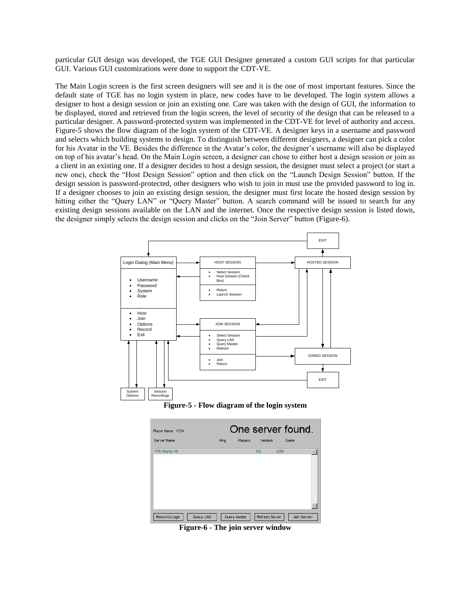particular GUI design was developed, the TGE GUI Designer generated a custom GUI scripts for that particular GUI. Various GUI customizations were done to support the CDT-VE.

The Main Login screen is the first screen designers will see and it is the one of most important features. Since the default state of TGE has no login system in place, new codes have to be developed. The login system allows a designer to host a design session or join an existing one. Care was taken with the design of GUI, the information to be displayed, stored and retrieved from the login screen, the level of security of the design that can be released to a particular designer. A password-protected system was implemented in the CDT-VE for level of authority and access. Figure-5 shows the flow diagram of the login system of the CDT-VE. A designer keys in a username and password and selects which building systems to design. To distinguish between different designers, a designer can pick a color for his Avatar in the VE. Besides the difference in the Avatar"s color, the designer"s username will also be displayed on top of his avatar"s head. On the Main Login screen, a designer can chose to either host a design session or join as a client in an existing one. If a designer decides to host a design session, the designer must select a project (or start a new one), check the "Host Design Session" option and then click on the "Launch Design Session" button. If the design session is password-protected, other designers who wish to join in must use the provided password to log in. If a designer chooses to join an existing design session, the designer must first locate the hosted design session by hitting either the "Query LAN" or "Query Master" button. A search command will be issued to search for any existing design sessions available on the LAN and the internet. Once the respective design session is listed down, the designer simply selects the design session and clicks on the "Join Server" button (Figure-6).







**Figure-6 - The join server window**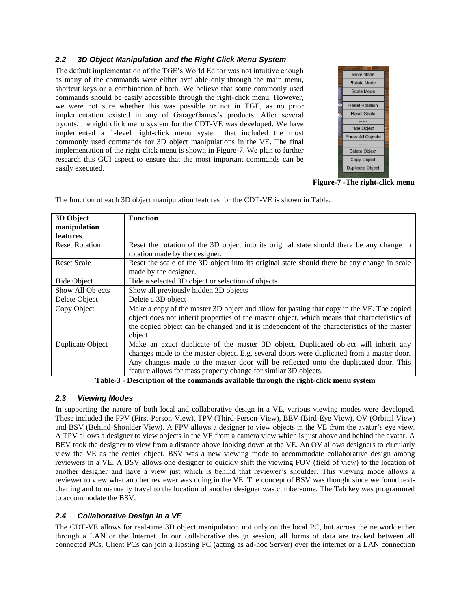### *2.2 3D Object Manipulation and the Right Click Menu System*

The default implementation of the TGE"s World Editor was not intuitive enough as many of the commands were either available only through the main menu, shortcut keys or a combination of both. We believe that some commonly used commands should be easily accessible through the right-click menu. However, we were not sure whether this was possible or not in TGE, as no prior implementation existed in any of GarageGames's products. After several tryouts, the right click menu system for the CDT-VE was developed. We have implemented a 1-level right-click menu system that included the most commonly used commands for 3D object manipulations in the VE. The final implementation of the right-click menu is shown in Figure-7. We plan to further research this GUI aspect to ensure that the most important commands can be easily executed.



**Figure-7 -The right-click menu**

| 3D Object<br>manipulation | <b>Function</b>                                                                                                                                                                                                                                                                                                                             |
|---------------------------|---------------------------------------------------------------------------------------------------------------------------------------------------------------------------------------------------------------------------------------------------------------------------------------------------------------------------------------------|
| features                  |                                                                                                                                                                                                                                                                                                                                             |
| <b>Reset Rotation</b>     | Reset the rotation of the 3D object into its original state should there be any change in<br>rotation made by the designer.                                                                                                                                                                                                                 |
| <b>Reset Scale</b>        | Reset the scale of the 3D object into its original state should there be any change in scale<br>made by the designer.                                                                                                                                                                                                                       |
| Hide Object               | Hide a selected 3D object or selection of objects                                                                                                                                                                                                                                                                                           |
| Show All Objects          | Show all previously hidden 3D objects                                                                                                                                                                                                                                                                                                       |
| Delete Object             | Delete a 3D object                                                                                                                                                                                                                                                                                                                          |
| Copy Object               | Make a copy of the master 3D object and allow for pasting that copy in the VE. The copied<br>object does not inherit properties of the master object, which means that characteristics of<br>the copied object can be changed and it is independent of the characteristics of the master<br>object                                          |
| Duplicate Object          | Make an exact duplicate of the master 3D object. Duplicated object will inherit any<br>changes made to the master object. E.g. several doors were duplicated from a master door.<br>Any changes made to the master door will be reflected onto the duplicated door. This<br>feature allows for mass property change for similar 3D objects. |

The function of each 3D object manipulation features for the CDT-VE is shown in Table.

**Table-3 - Description of the commands available through the right-click menu system**

## *2.3 Viewing Modes*

In supporting the nature of both local and collaborative design in a VE, various viewing modes were developed. These included the FPV (First-Person-View), TPV (Third-Person-View), BEV (Bird-Eye View), OV (Orbital View) and BSV (Behind-Shoulder View). A FPV allows a designer to view objects in the VE from the avatar"s eye view. A TPV allows a designer to view objects in the VE from a camera view which is just above and behind the avatar. A BEV took the designer to view from a distance above looking down at the VE. An OV allows designers to circularly view the VE as the center object. BSV was a new viewing mode to accommodate collaborative design among reviewers in a VE. A BSV allows one designer to quickly shift the viewing FOV (field of view) to the location of another designer and have a view just which is behind that reviewer"s shoulder. This viewing mode allows a reviewer to view what another reviewer was doing in the VE. The concept of BSV was thought since we found textchatting and to manually travel to the location of another designer was cumbersome. The Tab key was programmed to accommodate the BSV.

## *2.4 Collaborative Design in a VE*

The CDT-VE allows for real-time 3D object manipulation not only on the local PC, but across the network either through a LAN or the Internet. In our collaborative design session, all forms of data are tracked between all connected PCs. Client PCs can join a Hosting PC (acting as ad-hoc Server) over the internet or a LAN connection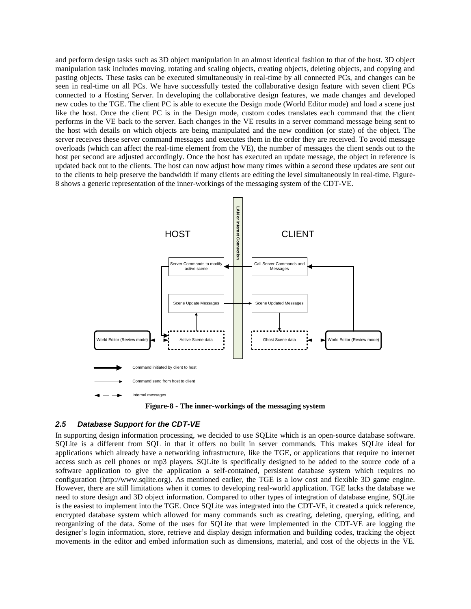and perform design tasks such as 3D object manipulation in an almost identical fashion to that of the host. 3D object manipulation task includes moving, rotating and scaling objects, creating objects, deleting objects, and copying and pasting objects. These tasks can be executed simultaneously in real-time by all connected PCs, and changes can be seen in real-time on all PCs. We have successfully tested the collaborative design feature with seven client PCs connected to a Hosting Server. In developing the collaborative design features, we made changes and developed new codes to the TGE. The client PC is able to execute the Design mode (World Editor mode) and load a scene just like the host. Once the client PC is in the Design mode, custom codes translates each command that the client performs in the VE back to the server. Each changes in the VE results in a server command message being sent to the host with details on which objects are being manipulated and the new condition (or state) of the object. The server receives these server command messages and executes them in the order they are received. To avoid message overloads (which can affect the real-time element from the VE), the number of messages the client sends out to the host per second are adjusted accordingly. Once the host has executed an update message, the object in reference is updated back out to the clients. The host can now adjust how many times within a second these updates are sent out to the clients to help preserve the bandwidth if many clients are editing the level simultaneously in real-time. Figure-8 shows a generic representation of the inner-workings of the messaging system of the CDT-VE.



**Figure-8 - The inner-workings of the messaging system**

#### *2.5 Database Support for the CDT-VE*

In supporting design information processing, we decided to use SQLite which is an open-source database software. SQLite is a different from SQL in that it offers no built in server commands. This makes SQLite ideal for applications which already have a networking infrastructure, like the TGE, or applications that require no internet access such as cell phones or mp3 players. SQLite is specifically designed to be added to the source code of a software application to give the application a self-contained, persistent database system which requires no configuration (http://www.sqlite.org). As mentioned earlier, the TGE is a low cost and flexible 3D game engine. However, there are still limitations when it comes to developing real-world application. TGE lacks the database we need to store design and 3D object information. Compared to other types of integration of database engine, SQLite is the easiest to implement into the TGE. Once SQLite was integrated into the CDT-VE, it created a quick reference, encrypted database system which allowed for many commands such as creating, deleting, querying, editing, and reorganizing of the data. Some of the uses for SQLite that were implemented in the CDT-VE are logging the designer's login information, store, retrieve and display design information and building codes, tracking the object movements in the editor and embed information such as dimensions, material, and cost of the objects in the VE.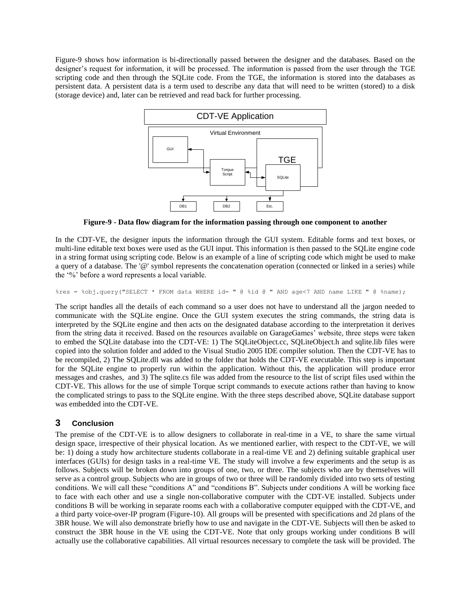Figure-9 shows how information is bi-directionally passed between the designer and the databases. Based on the designer's request for information, it will be processed. The information is passed from the user through the TGE scripting code and then through the SQLite code. From the TGE, the information is stored into the databases as persistent data. A persistent data is a term used to describe any data that will need to be written (stored) to a disk (storage device) and, later can be retrieved and read back for further processing.



**Figure-9 - Data flow diagram for the information passing through one component to another**

In the CDT-VE, the designer inputs the information through the GUI system. Editable forms and text boxes, or multi-line editable text boxes were used as the GUI input. This information is then passed to the SQLite engine code in a string format using scripting code. Below is an example of a line of scripting code which might be used to make a query of a database. The '@' symbol represents the concatenation operation (connected or linked in a series) while the "%" before a word represents a local variable.

%res = %obj.query("SELECT \* FROM data WHERE id= " @ %id @ " AND age<7 AND name LIKE " @ %name);

The script handles all the details of each command so a user does not have to understand all the jargon needed to communicate with the SQLite engine. Once the GUI system executes the string commands, the string data is interpreted by the SQLite engine and then acts on the designated database according to the interpretation it derives from the string data it received. Based on the resources available on GarageGames' website, three steps were taken to embed the SQLite database into the CDT-VE: 1) The SQLiteObject.cc, SQLiteObject.h and sqlite.lib files were copied into the solution folder and added to the Visual Studio 2005 IDE compiler solution. Then the CDT-VE has to be recompiled, 2) The SQLite.dll was added to the folder that holds the CDT-VE executable. This step is important for the SQLite engine to properly run within the application. Without this, the application will produce error messages and crashes, and 3) The sqlite.cs file was added from the resource to the list of script files used within the CDT-VE. This allows for the use of simple Torque script commands to execute actions rather than having to know the complicated strings to pass to the SQLite engine. With the three steps described above, SQLite database support was embedded into the CDT-VE.

# **3 Conclusion**

The premise of the CDT-VE is to allow designers to collaborate in real-time in a VE, to share the same virtual design space, irrespective of their physical location. As we mentioned earlier, with respect to the CDT-VE, we will be: 1) doing a study how architecture students collaborate in a real-time VE and 2) defining suitable graphical user interfaces (GUIs) for design tasks in a real-time VE. The study will involve a few experiments and the setup is as follows. Subjects will be broken down into groups of one, two, or three. The subjects who are by themselves will serve as a control group. Subjects who are in groups of two or three will be randomly divided into two sets of testing conditions. We will call these "conditions A" and "conditions B". Subjects under conditions A will be working face to face with each other and use a single non-collaborative computer with the CDT-VE installed. Subjects under conditions B will be working in separate rooms each with a collaborative computer equipped with the CDT-VE, and a third party voice-over-IP program (Figure-10). All groups will be presented with specifications and 2d plans of the 3BR house. We will also demonstrate briefly how to use and navigate in the CDT-VE. Subjects will then be asked to construct the 3BR house in the VE using the CDT-VE. Note that only groups working under conditions B will actually use the collaborative capabilities. All virtual resources necessary to complete the task will be provided. The